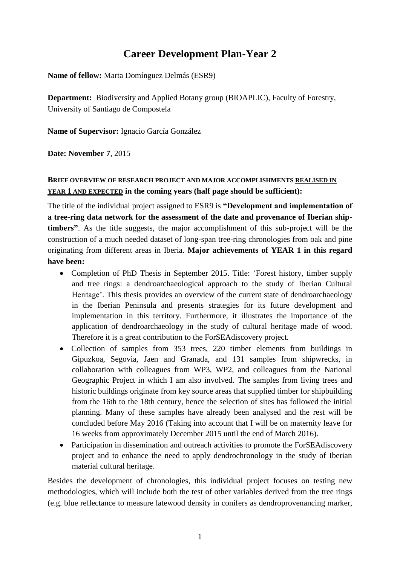# **Career Development Plan-Year 2**

**Name of fellow:** Marta Domínguez Delmás (ESR9)

**Department:** Biodiversity and Applied Botany group (BIOAPLIC), Faculty of Forestry, University of Santiago de Compostela

**Name of Supervisor:** Ignacio García González

**Date: November 7**, 2015

## **BRIEF OVERVIEW OF RESEARCH PROJECT AND MAJOR ACCOMPLISHMENTS REALISED IN YEAR 1 AND EXPECTED in the coming years (half page should be sufficient):**

The title of the individual project assigned to ESR9 is **"Development and implementation of a tree-ring data network for the assessment of the date and provenance of Iberian shiptimbers"**. As the title suggests, the major accomplishment of this sub-project will be the construction of a much needed dataset of long-span tree-ring chronologies from oak and pine originating from different areas in Iberia. **Major achievements of YEAR 1 in this regard have been:**

- Completion of PhD Thesis in September 2015. Title: 'Forest history, timber supply and tree rings: a dendroarchaeological approach to the study of Iberian Cultural Heritage'. This thesis provides an overview of the current state of dendroarchaeology in the Iberian Peninsula and presents strategies for its future development and implementation in this territory. Furthermore, it illustrates the importance of the application of dendroarchaeology in the study of cultural heritage made of wood. Therefore it is a great contribution to the ForSEAdiscovery project.
- Collection of samples from 353 trees, 220 timber elements from buildings in Gipuzkoa, Segovia, Jaen and Granada, and 131 samples from shipwrecks, in collaboration with colleagues from WP3, WP2, and colleagues from the National Geographic Project in which I am also involved. The samples from living trees and historic buildings originate from key source areas that supplied timber for shipbuilding from the 16th to the 18th century, hence the selection of sites has followed the initial planning. Many of these samples have already been analysed and the rest will be concluded before May 2016 (Taking into account that I will be on maternity leave for 16 weeks from approximately December 2015 until the end of March 2016).
- Participation in dissemination and outreach activities to promote the ForSEAdiscovery project and to enhance the need to apply dendrochronology in the study of Iberian material cultural heritage.

Besides the development of chronologies, this individual project focuses on testing new methodologies, which will include both the test of other variables derived from the tree rings (e.g. blue reflectance to measure latewood density in conifers as dendroprovenancing marker,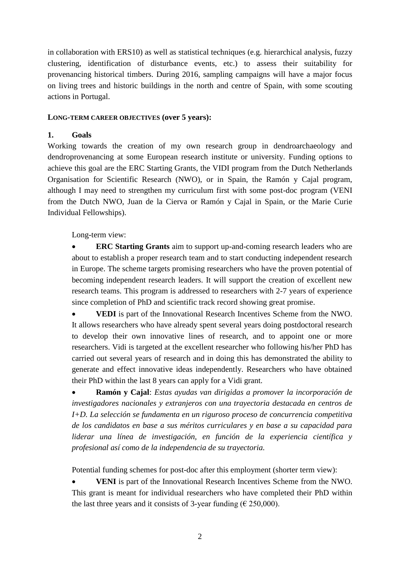in collaboration with ERS10) as well as statistical techniques (e.g. hierarchical analysis, fuzzy clustering, identification of disturbance events, etc.) to assess their suitability for provenancing historical timbers. During 2016, sampling campaigns will have a major focus on living trees and historic buildings in the north and centre of Spain, with some scouting actions in Portugal.

## **LONG-TERM CAREER OBJECTIVES (over 5 years):**

## **1. Goals**

Working towards the creation of my own research group in dendroarchaeology and dendroprovenancing at some European research institute or university. Funding options to achieve this goal are the ERC Starting Grants, the VIDI program from the Dutch Netherlands Organisation for Scientific Research (NWO), or in Spain, the Ramón y Cajal program, although I may need to strengthen my curriculum first with some post-doc program (VENI from the Dutch NWO, Juan de la Cierva or Ramón y Cajal in Spain, or the Marie Curie Individual Fellowships).

Long-term view:

 **ERC Starting Grants** aim to support up-and-coming research leaders who are about to establish a proper research team and to start conducting independent research in Europe. The scheme targets promising researchers who have the proven potential of becoming independent research leaders. It will support the creation of excellent new research teams. This program is addressed to researchers with 2-7 years of experience since completion of PhD and scientific track record showing great promise.

 **VEDI** is part of the Innovational Research Incentives Scheme from the NWO. It allows researchers who have already spent several years doing postdoctoral research to develop their own innovative lines of research, and to appoint one or more researchers. Vidi is targeted at the excellent researcher who following his/her PhD has carried out several years of research and in doing this has demonstrated the ability to generate and effect innovative ideas independently. Researchers who have obtained their PhD within the last 8 years can apply for a Vidi grant.

 **Ramón y Cajal**: *Estas ayudas van dirigidas a promover la incorporación de investigadores nacionales y extranjeros con una trayectoria destacada en centros de I+D. La selección se fundamenta en un riguroso proceso de concurrencia competitiva de los candidatos en base a sus méritos curriculares y en base a su capacidad para liderar una línea de investigación, en función de la experiencia científica y profesional así como de la independencia de su trayectoria.*

Potential funding schemes for post-doc after this employment (shorter term view):

 **VENI** is part of the Innovational Research Incentives Scheme from the NWO. This grant is meant for individual researchers who have completed their PhD within the last three years and it consists of 3-year funding ( $\epsilon$  250,000).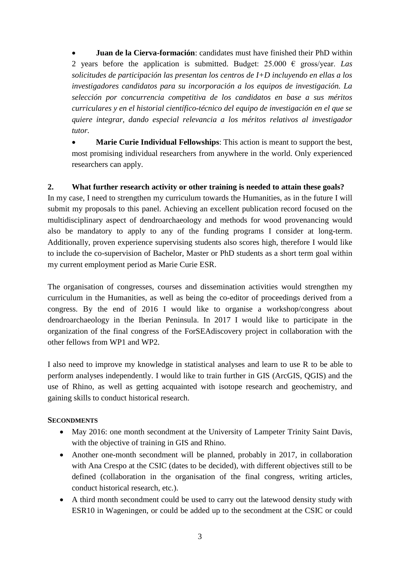**Juan de la Cierva-formación**: candidates must have finished their PhD within 2 years before the application is submitted. Budget:  $25.000 \text{ } \in \text{gross/year}$ . *Las solicitudes de participación las presentan los centros de I+D incluyendo en ellas a los investigadores candidatos para su incorporación a los equipos de investigación. La selección por concurrencia competitiva de los candidatos en base a sus méritos curriculares y en el historial científico-técnico del equipo de investigación en el que se quiere integrar, dando especial relevancia a los méritos relativos al investigador tutor.*

 **Marie Curie Individual Fellowships**: This action is meant to support the best, most promising individual researchers from anywhere in the world. Only experienced researchers can apply.

## **2. What further research activity or other training is needed to attain these goals?**

In my case, I need to strengthen my curriculum towards the Humanities, as in the future I will submit my proposals to this panel. Achieving an excellent publication record focused on the multidisciplinary aspect of dendroarchaeology and methods for wood provenancing would also be mandatory to apply to any of the funding programs I consider at long-term. Additionally, proven experience supervising students also scores high, therefore I would like to include the co-supervision of Bachelor, Master or PhD students as a short term goal within my current employment period as Marie Curie ESR.

The organisation of congresses, courses and dissemination activities would strengthen my curriculum in the Humanities, as well as being the co-editor of proceedings derived from a congress. By the end of 2016 I would like to organise a workshop/congress about dendroarchaeology in the Iberian Peninsula. In 2017 I would like to participate in the organization of the final congress of the ForSEAdiscovery project in collaboration with the other fellows from WP1 and WP2.

I also need to improve my knowledge in statistical analyses and learn to use R to be able to perform analyses independently. I would like to train further in GIS (ArcGIS, QGIS) and the use of Rhino, as well as getting acquainted with isotope research and geochemistry, and gaining skills to conduct historical research.

## **SECONDMENTS**

- May 2016: one month secondment at the University of Lampeter Trinity Saint Davis, with the objective of training in GIS and Rhino.
- Another one-month secondment will be planned, probably in 2017, in collaboration with Ana Crespo at the CSIC (dates to be decided), with different objectives still to be defined (collaboration in the organisation of the final congress, writing articles, conduct historical research, etc.).
- A third month secondment could be used to carry out the latewood density study with ESR10 in Wageningen, or could be added up to the secondment at the CSIC or could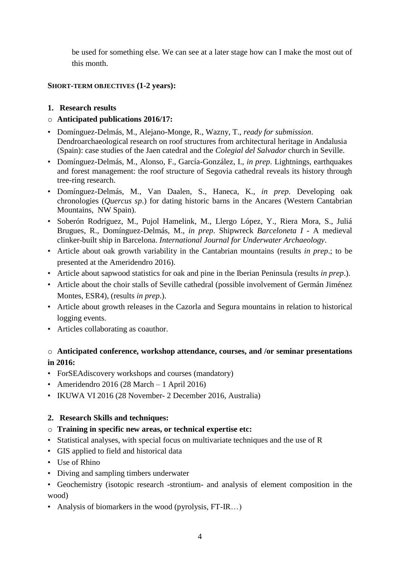be used for something else. We can see at a later stage how can I make the most out of this month.

## **SHORT-TERM OBJECTIVES (1-2 years):**

- **1. Research results**
- o **Anticipated publications 2016/17:**
- Domínguez-Delmás, M., Alejano-Monge, R., Wazny, T., *ready for submission*. Dendroarchaeological research on roof structures from architectural heritage in Andalusia (Spain): case studies of the Jaen catedral and the *Colegial del Salvador* church in Seville.
- Domínguez-Delmás, M., Alonso, F., García-González, I., *in prep*. Lightnings, earthquakes and forest management: the roof structure of Segovia cathedral reveals its history through tree-ring research.
- Domínguez-Delmás, M., Van Daalen, S., Haneca, K., *in prep*. Developing oak chronologies (*Quercus sp*.) for dating historic barns in the Ancares (Western Cantabrian Mountains, NW Spain).
- Soberón Rodríguez, M., Pujol Hamelink, M., Llergo López, Y., Riera Mora, S., Juliá Brugues, R., Domínguez-Delmás, M., *in prep*. Shipwreck *Barceloneta I -* A medieval clinker-built ship in Barcelona. *International Journal for Underwater Archaeology*.
- Article about oak growth variability in the Cantabrian mountains (results *in prep*.; to be presented at the Ameridendro 2016).
- Article about sapwood statistics for oak and pine in the Iberian Peninsula (results *in prep*.).
- Article about the choir stalls of Seville cathedral (possible involvement of Germán Jiménez Montes, ESR4), (results *in prep*.).
- Article about growth releases in the Cazorla and Segura mountains in relation to historical logging events.
- Articles collaborating as coauthor.

## o **Anticipated conference, workshop attendance, courses, and /or seminar presentations in 2016:**

- ForSEAdiscovery workshops and courses (mandatory)
- Ameridendro 2016 (28 March 1 April 2016)
- IKUWA VI 2016 (28 November- 2 December 2016, Australia)

## **2. Research Skills and techniques:**

- o **Training in specific new areas, or technical expertise etc:**
- Statistical analyses, with special focus on multivariate techniques and the use of R
- GIS applied to field and historical data
- Use of Rhino
- Diving and sampling timbers underwater
- Geochemistry (isotopic research -strontium- and analysis of element composition in the wood)
- Analysis of biomarkers in the wood (pyrolysis, FT-IR...)